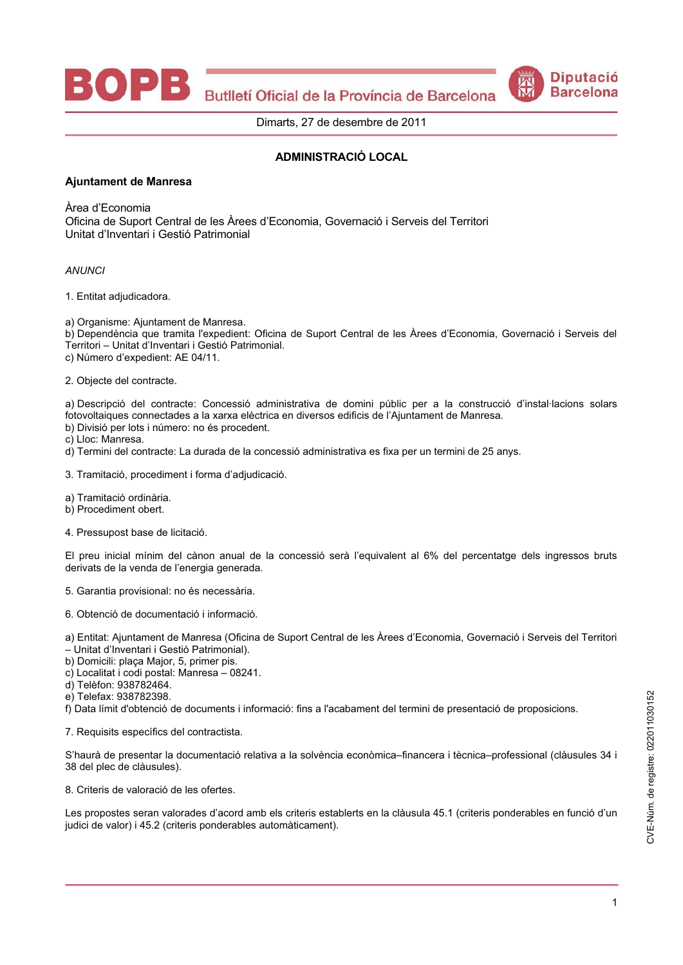Butlletí Oficial de la Província de Barcelona



Dimarts, 27 de desembre de 2011

## **ADMINISTRACIÓ LOCAL**

## **Ajuntament de Manresa**

Àrea d'Economia

Oficina de Suport Central de les Àrees d'Economia, Governació i Serveis del Territori Unitat d'Inventari i Gestió Patrimonial

**ANUNCI** 

1. Entitat adjudicadora.

a) Organisme: Aiuntament de Manresa.

b) Dependència que tramita l'expedient: Oficina de Suport Central de les Àrees d'Economia, Governació i Serveis del Territori - Unitat d'Inventari i Gestió Patrimonial. c) Número d'expedient: AE 04/11.

2. Objecte del contracte.

a) Descripció del contracte: Concessió administrativa de domini públic per a la construcció d'instal·lacions solars fotovoltaiques connectades a la xarxa elèctrica en diversos edificis de l'Ajuntament de Manresa.

b) Divisió per lots i número: no és procedent.

c) Lloc: Manresa.

d) Termini del contracte: La durada de la concessió administrativa es fixa per un termini de 25 anys.

3. Tramitació, procediment i forma d'adjudicació.

a) Tramitació ordinària.

b) Procediment obert.

4. Pressupost base de licitació.

El preu inicial mínim del cànon anual de la concessió serà l'equivalent al 6% del percentatge dels ingressos bruts derivats de la venda de l'energia generada.

5. Garantia provisional: no és necessària.

6. Obtenció de documentació i informació.

a) Entitat: Ajuntament de Manresa (Oficina de Suport Central de les Àrees d'Economia, Governació i Serveis del Territori

- Unitat d'Inventari i Gestió Patrimonial).

b) Domicili: plaça Major, 5, primer pis.

c) Localitat i codi postal: Manresa - 08241.

d) Telèfon: 938782464.

e) Telefax: 938782398.

f) Data límit d'obtenció de documents i informació: fins a l'acabament del termini de presentació de proposicions.

7. Requisits específics del contractista.

S'haurà de presentar la documentació relativa a la solvència econòmica-financera i tècnica-professional (clàusules 34 i 38 del plec de clàusules).

8. Criteris de valoració de les ofertes.

Les propostes seran valorades d'acord amb els criteris establerts en la clàusula 45.1 (criteris ponderables en funció d'un judici de valor) i 45.2 (criteris ponderables automàticament).